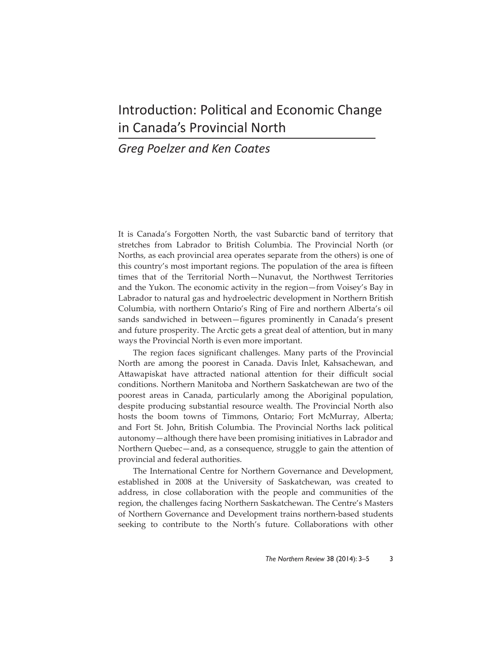## Introduction: Political and Economic Change in Canada's Provincial North

## *Greg Poelzer and Ken Coates*

It is Canada's Forgotten North, the vast Subarctic band of territory that stretches from Labrador to British Columbia. The Provincial North (or Norths, as each provincial area operates separate from the others) is one of this country's most important regions. The population of the area is fifteen times that of the Territorial North—Nunavut, the Northwest Territories and the Yukon. The economic activity in the region—from Voisey's Bay in Labrador to natural gas and hydroelectric development in Northern British Columbia, with northern Ontario's Ring of Fire and northern Alberta's oil sands sandwiched in between-figures prominently in Canada's present and future prosperity. The Arctic gets a great deal of attention, but in many ways the Provincial North is even more important.

The region faces significant challenges. Many parts of the Provincial North are among the poorest in Canada. Davis Inlet, Kahsachewan, and Attawapiskat have attracted national attention for their difficult social conditions. Northern Manitoba and Northern Saskatchewan are two of the poorest areas in Canada, particularly among the Aboriginal population, despite producing substantial resource wealth. The Provincial North also hosts the boom towns of Timmons, Ontario; Fort McMurray, Alberta; and Fort St. John, British Columbia. The Provincial Norths lack political autonomy—although there have been promising initiatives in Labrador and Northern Quebec—and, as a consequence, struggle to gain the attention of provincial and federal authorities.

The International Centre for Northern Governance and Development, established in 2008 at the University of Saskatchewan, was created to address, in close collaboration with the people and communities of the region, the challenges facing Northern Saskatchewan. The Centre's Masters of Northern Governance and Development trains northern-based students seeking to contribute to the North's future. Collaborations with other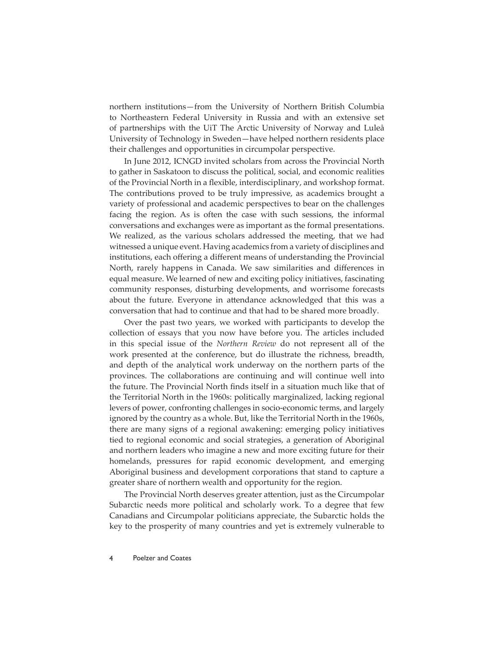northern institutions—from the University of Northern British Columbia to Northeastern Federal University in Russia and with an extensive set of partnerships with the UiT The Arctic University of Norway and Luleå University of Technology in Sweden—have helped northern residents place their challenges and opportunities in circumpolar perspective.

In June 2012, ICNGD invited scholars from across the Provincial North to gather in Saskatoon to discuss the political, social, and economic realities of the Provincial North in a flexible, interdisciplinary, and workshop format. The contributions proved to be truly impressive, as academics brought a variety of professional and academic perspectives to bear on the challenges facing the region. As is often the case with such sessions, the informal conversations and exchanges were as important as the formal presentations. We realized, as the various scholars addressed the meeting, that we had witnessed a unique event. Having academics from a variety of disciplines and institutions, each offering a different means of understanding the Provincial North, rarely happens in Canada. We saw similarities and differences in equal measure. We learned of new and exciting policy initiatives, fascinating community responses, disturbing developments, and worrisome forecasts about the future. Everyone in attendance acknowledged that this was a conversation that had to continue and that had to be shared more broadly.

Over the past two years, we worked with participants to develop the collection of essays that you now have before you. The articles included in this special issue of the *Northern Review* do not represent all of the work presented at the conference, but do illustrate the richness, breadth, and depth of the analytical work underway on the northern parts of the provinces. The collaborations are continuing and will continue well into the future. The Provincial North finds itself in a situation much like that of the Territorial North in the 1960s: politically marginalized, lacking regional levers of power, confronting challenges in socio-economic terms, and largely ignored by the country as a whole. But, like the Territorial North in the 1960s, there are many signs of a regional awakening: emerging policy initiatives tied to regional economic and social strategies, a generation of Aboriginal and northern leaders who imagine a new and more exciting future for their homelands, pressures for rapid economic development, and emerging Aboriginal business and development corporations that stand to capture a greater share of northern wealth and opportunity for the region.

The Provincial North deserves greater attention, just as the Circumpolar Subarctic needs more political and scholarly work. To a degree that few Canadians and Circumpolar politicians appreciate, the Subarctic holds the key to the prosperity of many countries and yet is extremely vulnerable to